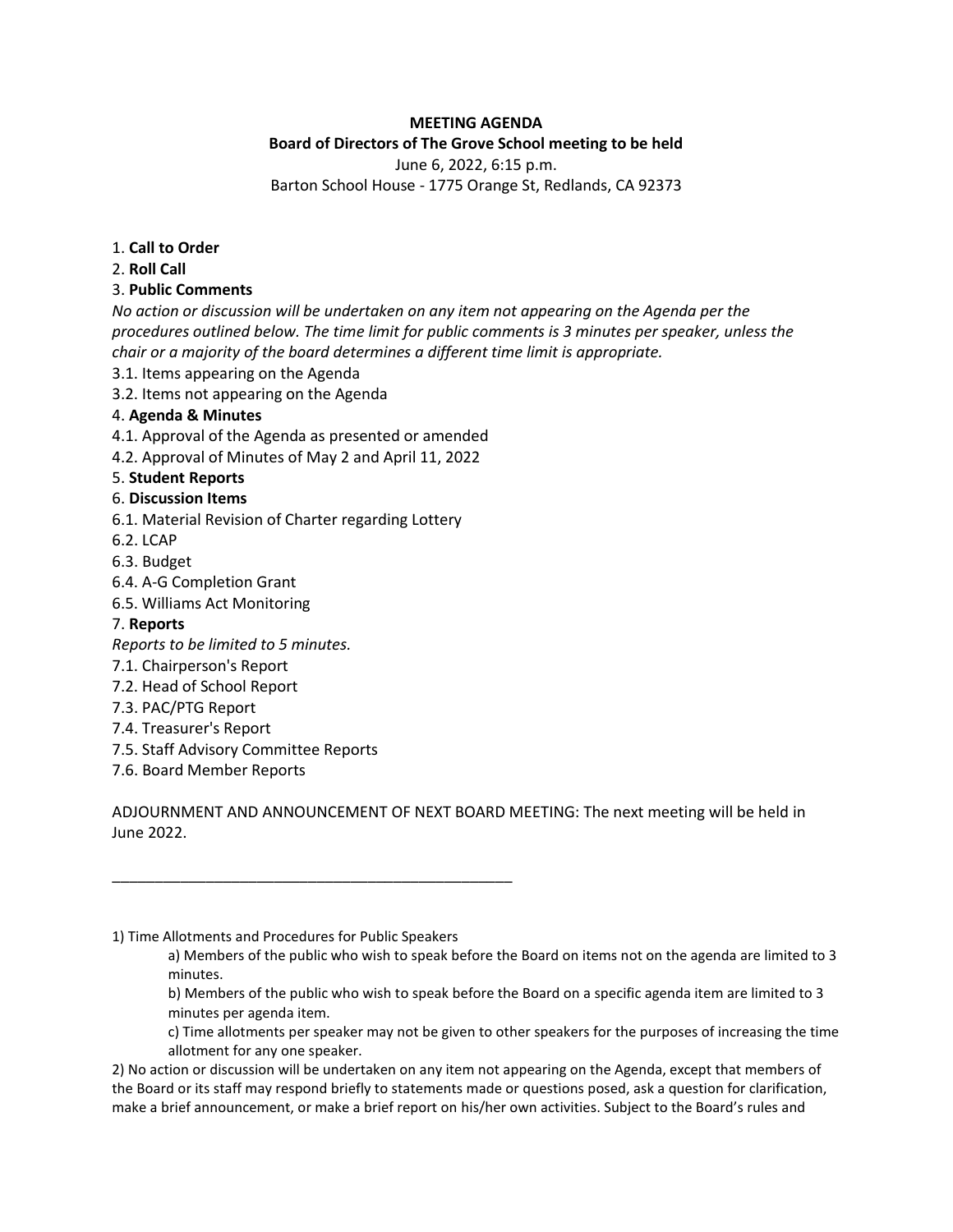## **MEETING AGENDA**

### **Board of Directors of The Grove School meeting to be held**

June 6, 2022, 6:15 p.m.

Barton School House - 1775 Orange St, Redlands, CA 92373

# 1. **Call to Order**

2. **Roll Call**

# 3. **Public Comments**

*No action or discussion will be undertaken on any item not appearing on the Agenda per the procedures outlined below. The time limit for public comments is 3 minutes per speaker, unless the chair or a majority of the board determines a different time limit is appropriate.* 

- 3.1. Items appearing on the Agenda
- 3.2. Items not appearing on the Agenda

# 4. **Agenda & Minutes**

- 4.1. Approval of the Agenda as presented or amended
- 4.2. Approval of Minutes of May 2 and April 11, 2022

## 5. **Student Reports**

## 6. **Discussion Items**

- 6.1. Material Revision of Charter regarding Lottery
- 6.2. LCAP
- 6.3. Budget
- 6.4. A-G Completion Grant
- 6.5. Williams Act Monitoring

# 7. **Reports**

*Reports to be limited to 5 minutes.* 

- 7.1. Chairperson's Report
- 7.2. Head of School Report
- 7.3. PAC/PTG Report
- 7.4. Treasurer's Report
- 7.5. Staff Advisory Committee Reports
- 7.6. Board Member Reports

ADJOURNMENT AND ANNOUNCEMENT OF NEXT BOARD MEETING: The next meeting will be held in June 2022.

1) Time Allotments and Procedures for Public Speakers

\_\_\_\_\_\_\_\_\_\_\_\_\_\_\_\_\_\_\_\_\_\_\_\_\_\_\_\_\_\_\_\_\_\_\_\_\_\_\_\_\_\_\_\_\_\_\_

a) Members of the public who wish to speak before the Board on items not on the agenda are limited to 3 minutes.

b) Members of the public who wish to speak before the Board on a specific agenda item are limited to 3 minutes per agenda item.

c) Time allotments per speaker may not be given to other speakers for the purposes of increasing the time allotment for any one speaker.

2) No action or discussion will be undertaken on any item not appearing on the Agenda, except that members of the Board or its staff may respond briefly to statements made or questions posed, ask a question for clarification, make a brief announcement, or make a brief report on his/her own activities. Subject to the Board's rules and